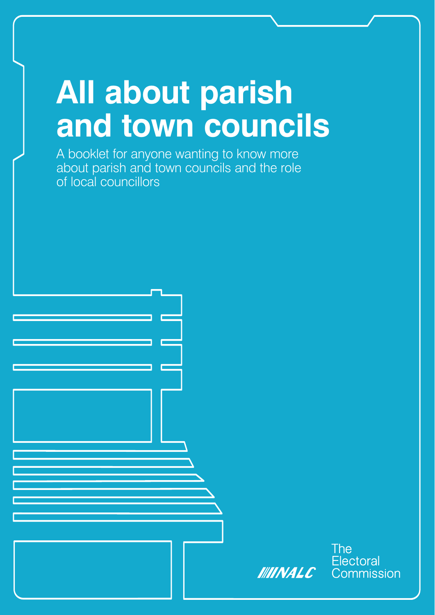# **All about parish and town councils**

A booklet for anyone wanting to know more about parish and town councils and the role of local councillors



**The Electoral** Commission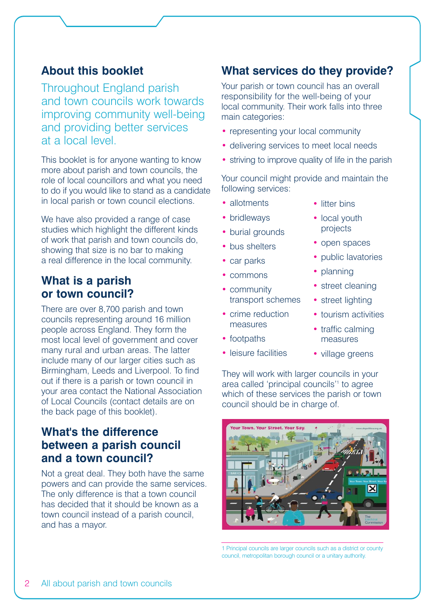## **About this booklet**

Throughout England parish and town councils work towards improving community well-being and providing better services at a local level.

This booklet is for anyone wanting to know more about parish and town councils, the role of local councillors and what you need to do if you would like to stand as a candidate in local parish or town council elections.

We have also provided a range of case studies which highlight the different kinds of work that parish and town councils do, showing that size is no bar to making a real difference in the local community.

# **What is a parish or town council?**

There are over 8,700 parish and town councils representing around 16 million people across England. They form the most local level of government and cover many rural and urban areas. The latter include many of our larger cities such as Birmingham, Leeds and Liverpool. To find out if there is a parish or town council in your area contact the National Association of Local Councils (contact details are on the back page of this booklet).

## **What's the difference between a parish council and a town council?**

Not a great deal. They both have the same powers and can provide the same services. The only difference is that a town council has decided that it should be known as a town council instead of a parish council, and has a mayor.

# **What services do they provide?**

Your parish or town council has an overall responsibility for the well-being of your local community. Their work falls into three main categories:

- representing your local community
- delivering services to meet local needs
- striving to improve quality of life in the parish

Your council might provide and maintain the following services:

- allotments
- bridleways
- burial grounds
- bus shelters
- car parks
- commons
- community transport schemes
- crime reduction measures
- footpaths
- leisure facilities
- litter bins
- local youth projects
- open spaces
- public lavatories
- planning
- street cleaning
- street lighting
- tourism activities
- traffic calming measures
- village greens

They will work with larger councils in your area called 'principal councils'1 to agree which of these services the parish or town council should be in charge of.



1 Principal councils are larger councils such as a district or county council, metropolitan borough council or a unitary authority.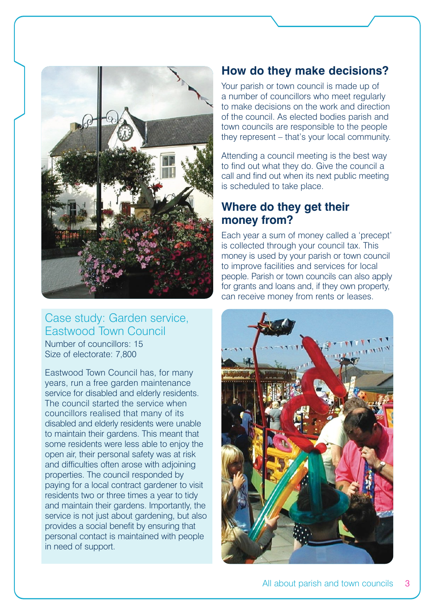

#### Case study: Garden service, Eastwood Town Council Number of councillors: 15 Size of electorate: 7,800

Eastwood Town Council has, for many years, run a free garden maintenance service for disabled and elderly residents. The council started the service when councillors realised that many of its disabled and elderly residents were unable to maintain their gardens. This meant that some residents were less able to enjoy the open air, their personal safety was at risk and difficulties often arose with adjoining properties. The council responded by paying for a local contract gardener to visit residents two or three times a year to tidy and maintain their gardens. Importantly, the service is not just about gardening, but also provides a social benefit by ensuring that personal contact is maintained with people in need of support.

## **How do they make decisions?**

Your parish or town council is made up of a number of councillors who meet regularly to make decisions on the work and direction of the council. As elected bodies parish and town councils are responsible to the people they represent – that's your local community.

Attending a council meeting is the best way to find out what they do. Give the council a call and find out when its next public meeting is scheduled to take place.

# **Where do they get their money from?**

Each year a sum of money called a 'precept' is collected through your council tax. This money is used by your parish or town council to improve facilities and services for local people. Parish or town councils can also apply for grants and loans and, if they own property, can receive money from rents or leases.

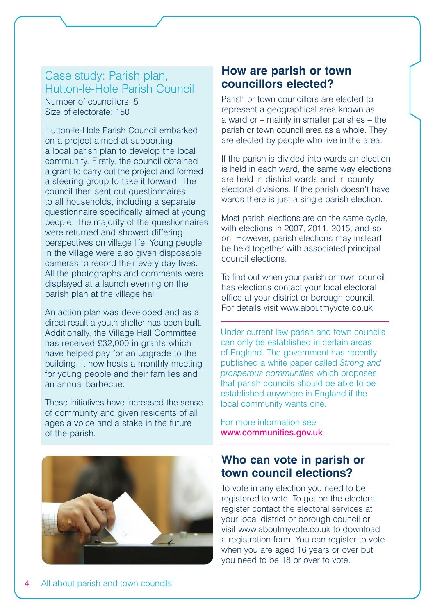#### Case study: Parish plan, Hutton-le-Hole Parish Council Number of councillors: 5 Size of electorate: 150

Hutton-le-Hole Parish Council embarked on a project aimed at supporting a local parish plan to develop the local community. Firstly, the council obtained a grant to carry out the project and formed a steering group to take it forward. The council then sent out questionnaires to all households, including a separate questionnaire specifically aimed at young people. The majority of the questionnaires were returned and showed differing perspectives on village life. Young people in the village were also given disposable cameras to record their every day lives. All the photographs and comments were displayed at a launch evening on the parish plan at the village hall.

An action plan was developed and as a direct result a youth shelter has been built. Additionally, the Village Hall Committee has received £32,000 in grants which have helped pay for an upgrade to the building. It now hosts a monthly meeting for young people and their families and an annual barbecue.

These initiatives have increased the sense of community and given residents of all ages a voice and a stake in the future of the parish.



#### **How are parish or town councillors elected?**

Parish or town councillors are elected to represent a geographical area known as a ward or – mainly in smaller parishes – the parish or town council area as a whole. They are elected by people who live in the area.

If the parish is divided into wards an election is held in each ward, the same way elections are held in district wards and in county electoral divisions. If the parish doesn't have wards there is just a single parish election.

Most parish elections are on the same cycle, with elections in 2007, 2011, 2015, and so on. However, parish elections may instead be held together with associated principal council elections.

To find out when your parish or town council has elections contact your local electoral office at your district or borough council. For details visit www.aboutmyvote.co.uk

Under current law parish and town councils can only be established in certain areas of England. The government has recently published a white paper called *Strong and prosperous communities* which proposes that parish councils should be able to be established anywhere in England if the local community wants one.

For more information see www.communities.gov.uk

#### **Who can vote in parish or town council elections?**

To vote in any election you need to be registered to vote. To get on the electoral register contact the electoral services at your local district or borough council or visit www.aboutmyvote.co.uk to download a registration form. You can register to vote when you are aged 16 years or over but you need to be 18 or over to vote.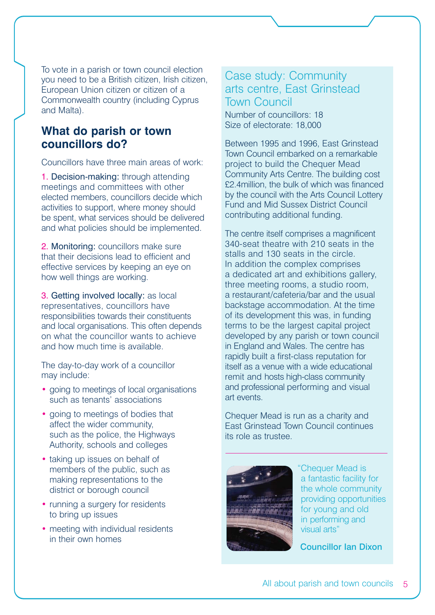To vote in a parish or town council election you need to be a British citizen, Irish citizen, European Union citizen or citizen of a Commonwealth country (including Cyprus and Malta).

## **What do parish or town councillors do?**

Councillors have three main areas of work:

1. Decision-making: through attending meetings and committees with other elected members, councillors decide which activities to support, where money should be spent, what services should be delivered and what policies should be implemented.

2. Monitoring: councillors make sure that their decisions lead to efficient and effective services by keeping an eye on how well things are working.

3. Getting involved locally: as local representatives, councillors have responsibilities towards their constituents and local organisations. This often depends on what the councillor wants to achieve and how much time is available.

The day-to-day work of a councillor may include:

- going to meetings of local organisations such as tenants' associations
- going to meetings of bodies that affect the wider community, such as the police, the Highways Authority, schools and colleges
- taking up issues on behalf of members of the public, such as making representations to the district or borough council
- running a surgery for residents to bring up issues
- meeting with individual residents in their own homes

Case study: Community arts centre, East Grinstead Town Council Number of councillors: 18

Size of electorate: 18,000

Between 1995 and 1996, East Grinstead Town Council embarked on a remarkable project to build the Chequer Mead Community Arts Centre. The building cost £2.4million, the bulk of which was financed by the council with the Arts Council Lottery Fund and Mid Sussex District Council contributing additional funding.

The centre itself comprises a magnificent 340-seat theatre with 210 seats in the stalls and 130 seats in the circle. In addition the complex comprises a dedicated art and exhibitions gallery, three meeting rooms, a studio room, a restaurant/cafeteria/bar and the usual backstage accommodation. At the time of its development this was, in funding terms to be the largest capital project developed by any parish or town council in England and Wales. The centre has rapidly built a first-class reputation for itself as a venue with a wide educational remit and hosts high-class community and professional performing and visual art events.

Chequer Mead is run as a charity and East Grinstead Town Council continues its role as trustee.



"Chequer Mead is a fantastic facility for the whole community providing opportunities for young and old in performing and visual arts"

Councillor Ian Dixon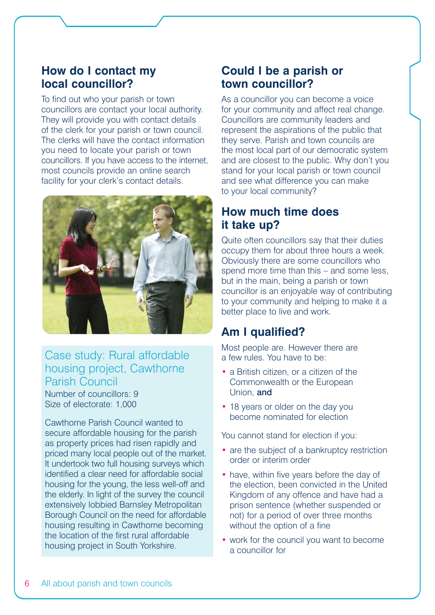#### **How do I contact my local councillor?**

To find out who your parish or town councillors are contact your local authority. They will provide you with contact details of the clerk for your parish or town council. The clerks will have the contact information you need to locate your parish or town councillors. If you have access to the internet, most councils provide an online search facility for your clerk's contact details.



#### Case study: Rural affordable housing project, Cawthorne Parish Council

Number of councillors: 9 Size of electorate: 1,000

Cawthorne Parish Council wanted to secure affordable housing for the parish as property prices had risen rapidly and priced many local people out of the market. It undertook two full housing surveys which identified a clear need for affordable social housing for the young, the less well-off and the elderly. In light of the survey the council extensively lobbied Barnsley Metropolitan Borough Council on the need for affordable housing resulting in Cawthorne becoming the location of the first rural affordable housing project in South Yorkshire.

## **Could I be a parish or town councillor?**

As a councillor you can become a voice for your community and affect real change. Councillors are community leaders and represent the aspirations of the public that they serve. Parish and town councils are the most local part of our democratic system and are closest to the public. Why don't you stand for your local parish or town council and see what difference you can make to your local community?

## **How much time does it take up?**

Quite often councillors say that their duties occupy them for about three hours a week. Obviously there are some councillors who spend more time than this – and some less, but in the main, being a parish or town councillor is an enjoyable way of contributing to your community and helping to make it a better place to live and work.

# **Am I qualified?**

Most people are. However there are a few rules. You have to be:

- a British citizen, or a citizen of the Commonwealth or the European Union, and
- 18 years or older on the day you become nominated for election

You cannot stand for election if you:

- are the subject of a bankruptcy restriction order or interim order
- have, within five years before the day of the election, been convicted in the United Kingdom of any offence and have had a prison sentence (whether suspended or not) for a period of over three months without the option of a fine
- work for the council you want to become a councillor for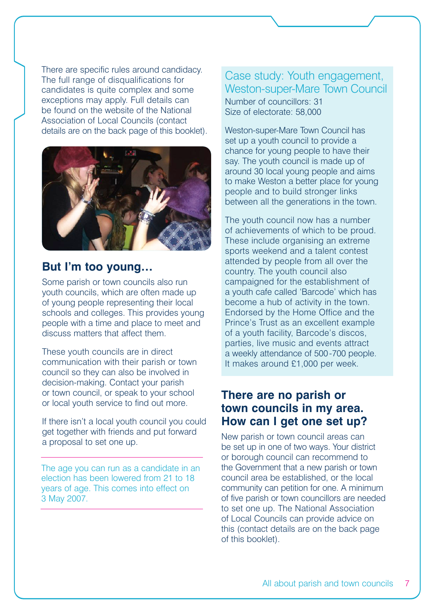There are specific rules around candidacy. The full range of disqualifications for candidates is quite complex and some exceptions may apply. Full details can be found on the website of the National Association of Local Councils (contact details are on the back page of this booklet).



#### **But I'm too young…**

Some parish or town councils also run youth councils, which are often made up of young people representing their local schools and colleges. This provides young people with a time and place to meet and discuss matters that affect them.

These youth councils are in direct communication with their parish or town council so they can also be involved in decision-making. Contact your parish or town council, or speak to your school or local youth service to find out more.

If there isn't a local youth council you could get together with friends and put forward a proposal to set one up.

The age you can run as a candidate in an election has been lowered from 21 to 18 years of age. This comes into effect on 3 May 2007.

#### Case study: Youth engagement, Weston-super-Mare Town Council Number of councillors: 31 Size of electorate: 58,000

Weston-super-Mare Town Council has set up a youth council to provide a chance for young people to have their say. The youth council is made up of around 30 local young people and aims to make Weston a better place for young people and to build stronger links between all the generations in the town.

The youth council now has a number of achievements of which to be proud. These include organising an extreme sports weekend and a talent contest attended by people from all over the country. The youth council also campaigned for the establishment of a youth cafe called 'Barcode' which has become a hub of activity in the town. Endorsed by the Home Office and the Prince's Trust as an excellent example of a youth facility, Barcode's discos, parties, live music and events attract a weekly attendance of 500-700 people. It makes around £1,000 per week.

#### **There are no parish or town councils in my area. How can I get one set up?**

New parish or town council areas can be set up in one of two ways. Your district or borough council can recommend to the Government that a new parish or town council area be established, or the local community can petition for one. A minimum of five parish or town councillors are needed to set one up. The National Association of Local Councils can provide advice on this (contact details are on the back page of this booklet).